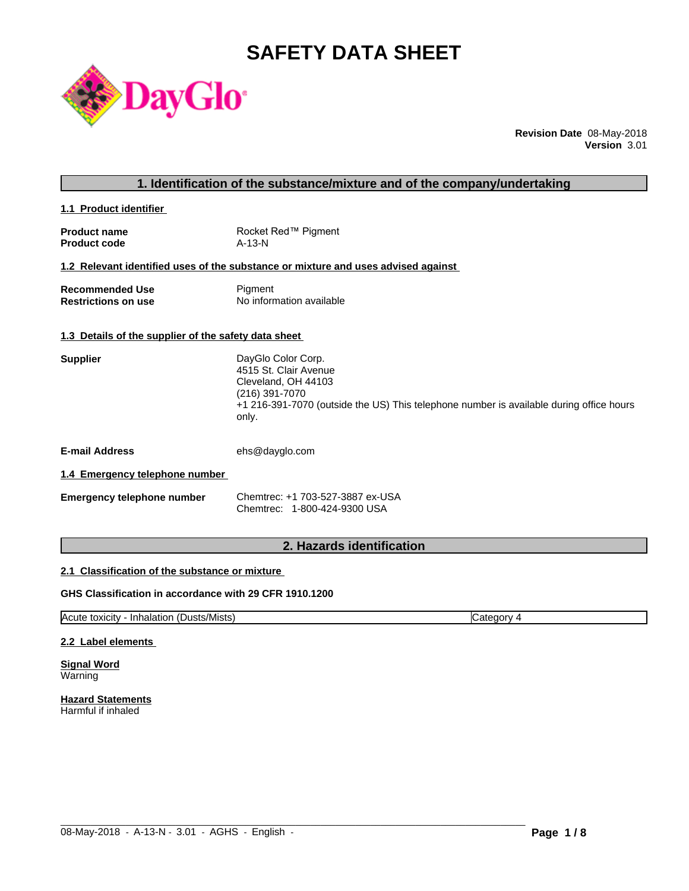# **SAFETY DATA SHEET**



**Revision Date** 08-May-2018 **Version** 3.01

## **1. Identification of the substance/mixture and of the company/undertaking**

**1.1 Product identifier** 

| <b>Product name</b> | Rocket Red™ Pigment |
|---------------------|---------------------|
| <b>Product code</b> | $A-13-N$            |

## **1.2 Relevant identified uses of the substance or mixture and uses advised against**

| <b>Recommended Use</b>     | Pigment                  |
|----------------------------|--------------------------|
| <b>Restrictions on use</b> | No information available |

## **1.3 Details of the supplier of the safety data sheet**

| <b>Supplier</b> | DayGlo Color Corp.                                                                               |
|-----------------|--------------------------------------------------------------------------------------------------|
|                 | 4515 St. Clair Avenue                                                                            |
|                 | Cleveland, OH 44103                                                                              |
|                 | (216) 391-7070                                                                                   |
|                 | +1 216-391-7070 (outside the US) This telephone number is available during office hours<br>only. |
|                 |                                                                                                  |

**E-mail Address** ehs@dayglo.com

## **1.4 Emergency telephone number**

| Emergency telephone number | Chemtrec: +1 703-527-3887 ex-USA |
|----------------------------|----------------------------------|
|                            | Chemtrec: 1-800-424-9300 USA     |

## **2. Hazards identification**

## **2.1 Classification of the substance or mixture**

## **GHS Classification in accordance with 29 CFR 1910.1200**

Acute toxicity - Inhalation (Dusts/Mists) Category 4

 $\_$  ,  $\_$  ,  $\_$  ,  $\_$  ,  $\_$  ,  $\_$  ,  $\_$  ,  $\_$  ,  $\_$  ,  $\_$  ,  $\_$  ,  $\_$  ,  $\_$  ,  $\_$  ,  $\_$  ,  $\_$  ,  $\_$  ,  $\_$  ,  $\_$  ,  $\_$  ,  $\_$  ,  $\_$  ,  $\_$  ,  $\_$  ,  $\_$  ,  $\_$  ,  $\_$  ,  $\_$  ,  $\_$  ,  $\_$  ,  $\_$  ,  $\_$  ,  $\_$  ,  $\_$  ,  $\_$  ,  $\_$  ,  $\_$  ,

## **2.2 Label elements**

**Signal Word** Warning

**Hazard Statements** Harmful if inhaled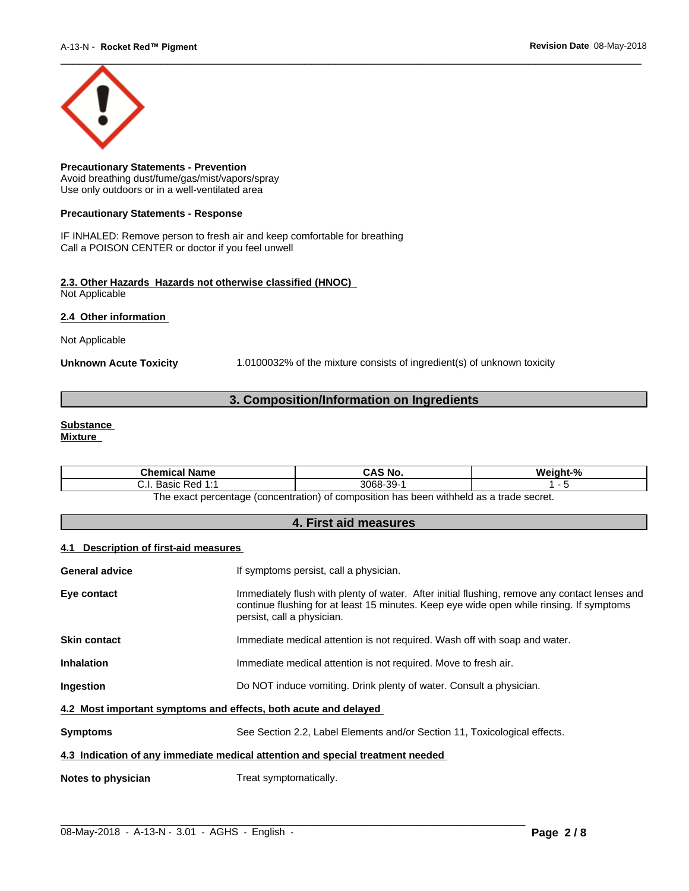

**Precautionary Statements - Prevention** Avoid breathing dust/fume/gas/mist/vapors/spray Use only outdoors or in a well-ventilated area

## **Precautionary Statements - Response**

IF INHALED: Remove person to fresh air and keep comfortable for breathing Call a POISON CENTER or doctor if you feel unwell

## **2.3. Other Hazards Hazards not otherwise classified (HNOC)** Not Applicable

**2.4 Other information** 

Not Applicable

**Unknown Acute Toxicity** 1.0100032% of the mixture consists of ingredient(s) of unknown toxicity

## **3. Composition/Information on Ingredients**

#### **Substance Mixture**

| <b>Chemical Name</b>                                | CAS No.   | Weight-%                               |
|-----------------------------------------------------|-----------|----------------------------------------|
| . Basic Red 1:1<br>. ا . ب                          | 3068-39-1 |                                        |
| The exact percentage (concentration) of composition |           | n has been withheld as a trade secret. |

## **4. First aid measures**

## **4.1 Description of first-aid measures**

| General advice                                                  | If symptoms persist, call a physician.                                                                                                                                                                                  |  |
|-----------------------------------------------------------------|-------------------------------------------------------------------------------------------------------------------------------------------------------------------------------------------------------------------------|--|
| Eye contact                                                     | Immediately flush with plenty of water. After initial flushing, remove any contact lenses and<br>continue flushing for at least 15 minutes. Keep eye wide open while rinsing. If symptoms<br>persist, call a physician. |  |
| <b>Skin contact</b>                                             | Immediate medical attention is not required. Wash off with soap and water.                                                                                                                                              |  |
| <b>Inhalation</b>                                               | Immediate medical attention is not required. Move to fresh air.                                                                                                                                                         |  |
| <b>Ingestion</b>                                                | Do NOT induce vomiting. Drink plenty of water. Consult a physician.                                                                                                                                                     |  |
| 4.2 Most important symptoms and effects, both acute and delayed |                                                                                                                                                                                                                         |  |
| <b>Symptoms</b>                                                 | See Section 2.2, Label Elements and/or Section 11, Toxicological effects.                                                                                                                                               |  |
|                                                                 | 4.3 Indication of any immediate medical attention and special treatment needed                                                                                                                                          |  |
| Notes to physician                                              | Treat symptomatically.                                                                                                                                                                                                  |  |
|                                                                 |                                                                                                                                                                                                                         |  |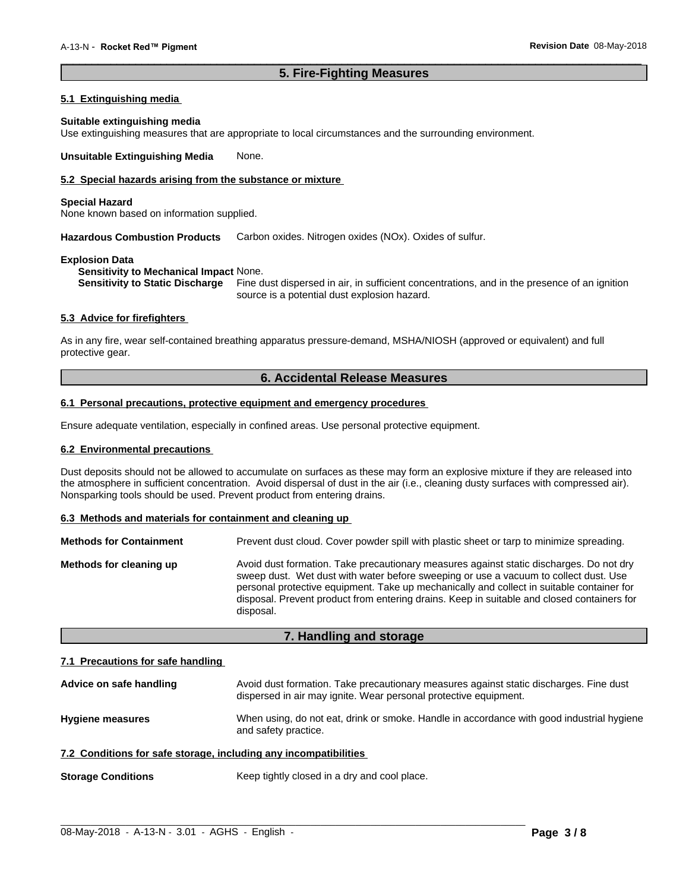## **5. Fire-Fighting Measures**

 $\overline{\phantom{a}}$  ,  $\overline{\phantom{a}}$  ,  $\overline{\phantom{a}}$  ,  $\overline{\phantom{a}}$  ,  $\overline{\phantom{a}}$  ,  $\overline{\phantom{a}}$  ,  $\overline{\phantom{a}}$  ,  $\overline{\phantom{a}}$  ,  $\overline{\phantom{a}}$  ,  $\overline{\phantom{a}}$  ,  $\overline{\phantom{a}}$  ,  $\overline{\phantom{a}}$  ,  $\overline{\phantom{a}}$  ,  $\overline{\phantom{a}}$  ,  $\overline{\phantom{a}}$  ,  $\overline{\phantom{a}}$ 

## **5.1 Extinguishing media**

#### **Suitable extinguishing media**

Use extinguishing measures that are appropriate to local circumstances and the surrounding environment.

**Unsuitable Extinguishing Media** None.

## **5.2 Special hazards arising from the substance or mixture**

#### **Special Hazard**

None known based on information supplied.

**Hazardous Combustion Products** Carbon oxides. Nitrogen oxides (NOx). Oxides of sulfur.

## **Explosion Data**

**Sensitivity to Mechanical Impact** None.

**Sensitivity to Static Discharge** Fine dust dispersed in air, in sufficient concentrations, and in the presence of an ignition source is a potential dust explosion hazard.

## **5.3 Advice for firefighters**

As in any fire, wear self-contained breathing apparatus pressure-demand, MSHA/NIOSH (approved or equivalent) and full protective gear.

## **6. Accidental Release Measures**

## **6.1 Personal precautions, protective equipment and emergency procedures**

Ensure adequate ventilation, especially in confined areas. Use personal protective equipment.

## **6.2 Environmental precautions**

Dust deposits should not be allowed to accumulate on surfaces as these may form an explosive mixture if they are released into the atmosphere in sufficient concentration. Avoid dispersal of dust in the air (i.e., cleaning dusty surfaces with compressed air). Nonsparking tools should be used. Prevent product from entering drains.

## **6.3 Methods and materials for containment and cleaning up**

| <b>Methods for Containment</b> | Prevent dust cloud. Cover powder spill with plastic sheet or tarp to minimize spreading.                                                                                                                                                                                                                                                                                                |
|--------------------------------|-----------------------------------------------------------------------------------------------------------------------------------------------------------------------------------------------------------------------------------------------------------------------------------------------------------------------------------------------------------------------------------------|
| Methods for cleaning up        | Avoid dust formation. Take precautionary measures against static discharges. Do not dry<br>sweep dust. Wet dust with water before sweeping or use a vacuum to collect dust. Use<br>personal protective equipment. Take up mechanically and collect in suitable container for<br>disposal. Prevent product from entering drains. Keep in suitable and closed containers for<br>disposal. |

## **7. Handling and storage**

## **7.1 Precautions for safe handling**

| Advice on safe handling                                          | Avoid dust formation. Take precautionary measures against static discharges. Fine dust<br>dispersed in air may ignite. Wear personal protective equipment. |
|------------------------------------------------------------------|------------------------------------------------------------------------------------------------------------------------------------------------------------|
| <b>Hygiene measures</b>                                          | When using, do not eat, drink or smoke. Handle in accordance with good industrial hygiene<br>and safety practice.                                          |
| 7.2 Conditions for safe storage, including any incompatibilities |                                                                                                                                                            |
| <b>Storage Conditions</b>                                        | Keep tightly closed in a dry and cool place.                                                                                                               |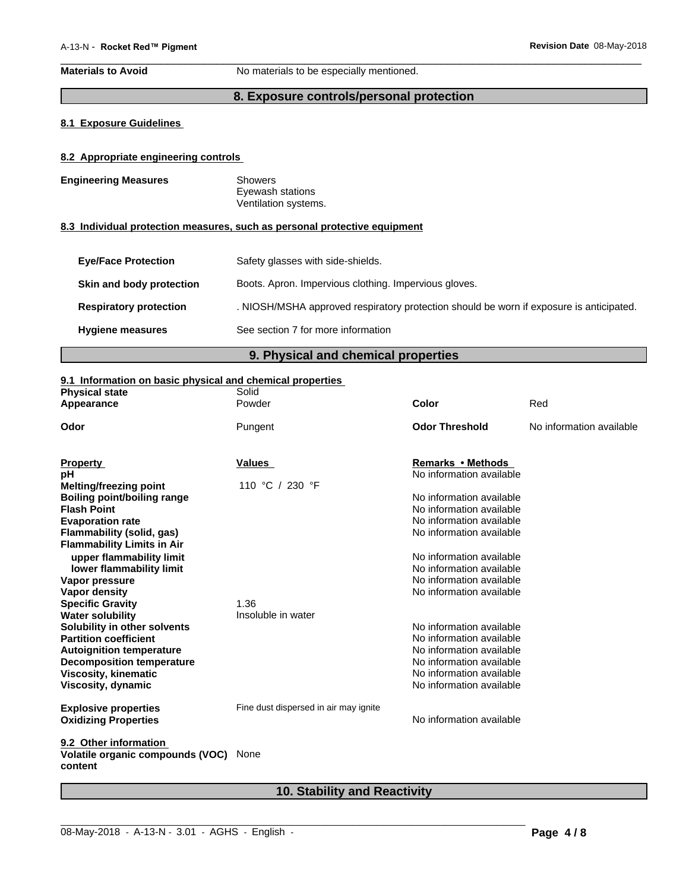**Materials to Avoid** No materials to be especially mentioned.

## **8. Exposure controls/personal protection**

 $\overline{\phantom{a}}$  ,  $\overline{\phantom{a}}$  ,  $\overline{\phantom{a}}$  ,  $\overline{\phantom{a}}$  ,  $\overline{\phantom{a}}$  ,  $\overline{\phantom{a}}$  ,  $\overline{\phantom{a}}$  ,  $\overline{\phantom{a}}$  ,  $\overline{\phantom{a}}$  ,  $\overline{\phantom{a}}$  ,  $\overline{\phantom{a}}$  ,  $\overline{\phantom{a}}$  ,  $\overline{\phantom{a}}$  ,  $\overline{\phantom{a}}$  ,  $\overline{\phantom{a}}$  ,  $\overline{\phantom{a}}$ 

## **8.1 Exposure Guidelines**

## **8.2 Appropriate engineering controls**

| <b>Engineering Measures</b> | Showers              |
|-----------------------------|----------------------|
|                             | Eyewash stations     |
|                             | Ventilation systems. |

## **8.3 Individual protection measures, such as personal protective equipment**

| <b>Eye/Face Protection</b>    | Safety glasses with side-shields.                                                       |
|-------------------------------|-----------------------------------------------------------------------------------------|
| Skin and body protection      | Boots. Apron. Impervious clothing. Impervious gloves.                                   |
| <b>Respiratory protection</b> | . NIOSH/MSHA approved respiratory protection should be worn if exposure is anticipated. |
| <b>Hygiene measures</b>       | See section 7 for more information                                                      |

## **9. Physical and chemical properties**

## **9.1 Information on basic physical and chemical properties**

| <b>Physical state</b>                       | Solid                                 |                                                      |                          |
|---------------------------------------------|---------------------------------------|------------------------------------------------------|--------------------------|
| Appearance                                  | Powder                                | <b>Color</b>                                         | Red                      |
| Odor                                        | Pungent                               | <b>Odor Threshold</b>                                | No information available |
| <b>Property</b>                             | <b>Values</b>                         | Remarks • Methods                                    |                          |
| рH                                          |                                       | No information available                             |                          |
| <b>Melting/freezing point</b>               | 110 °C / 230 °F                       |                                                      |                          |
| <b>Boiling point/boiling range</b>          |                                       | No information available                             |                          |
| <b>Flash Point</b>                          |                                       | No information available                             |                          |
| <b>Evaporation rate</b>                     |                                       | No information available                             |                          |
| <b>Flammability (solid, gas)</b>            |                                       | No information available                             |                          |
| <b>Flammability Limits in Air</b>           |                                       |                                                      |                          |
| upper flammability limit                    |                                       | No information available                             |                          |
| lower flammability limit                    |                                       | No information available                             |                          |
| Vapor pressure                              |                                       | No information available                             |                          |
| Vapor density                               |                                       | No information available                             |                          |
| <b>Specific Gravity</b>                     | 1.36                                  |                                                      |                          |
| <b>Water solubility</b>                     | Insoluble in water                    |                                                      |                          |
| Solubility in other solvents                |                                       | No information available                             |                          |
| <b>Partition coefficient</b>                |                                       | No information available                             |                          |
| <b>Autoignition temperature</b>             |                                       | No information available                             |                          |
| <b>Decomposition temperature</b>            |                                       | No information available                             |                          |
| <b>Viscosity, kinematic</b>                 |                                       | No information available<br>No information available |                          |
| Viscosity, dynamic                          |                                       |                                                      |                          |
| <b>Explosive properties</b>                 | Fine dust dispersed in air may ignite |                                                      |                          |
| <b>Oxidizing Properties</b>                 |                                       | No information available                             |                          |
| 9.2 Other information                       |                                       |                                                      |                          |
| Volatile organic compounds (VOC)<br>content | None                                  |                                                      |                          |

## **10. Stability and Reactivity**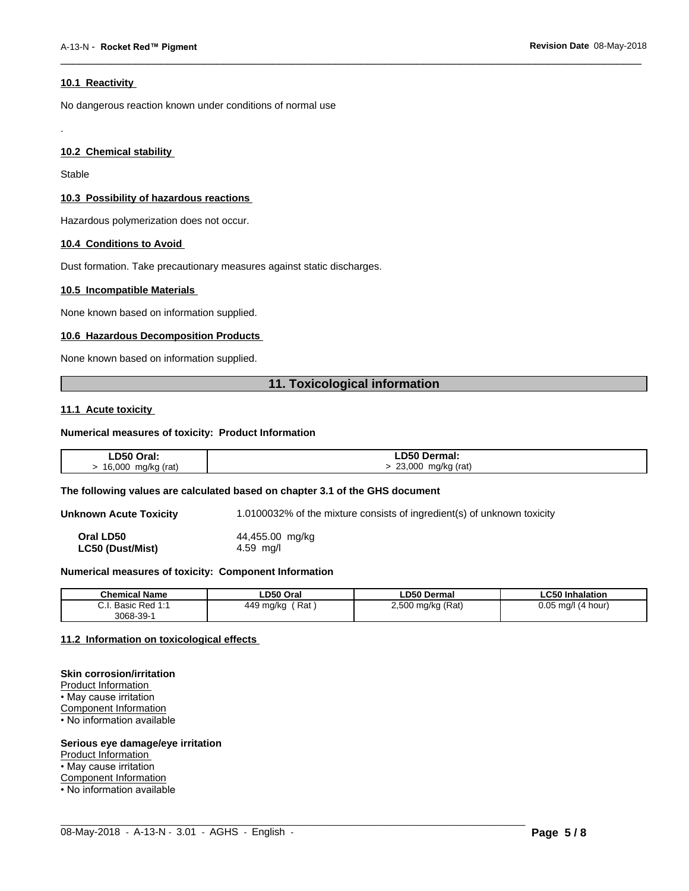## **10.1 Reactivity**

No dangerous reaction known under conditions of normal use

## **10.2 Chemical stability**

Stable

.

## **10.3 Possibility of hazardous reactions**

Hazardous polymerization does not occur.

## **10.4 Conditions to Avoid**

Dust formation. Take precautionary measures against static discharges.

## **10.5 Incompatible Materials**

None known based on information supplied.

## **10.6 Hazardous Decomposition Products**

None known based on information supplied.

## **11. Toxicological information**

 $\overline{\phantom{a}}$  ,  $\overline{\phantom{a}}$  ,  $\overline{\phantom{a}}$  ,  $\overline{\phantom{a}}$  ,  $\overline{\phantom{a}}$  ,  $\overline{\phantom{a}}$  ,  $\overline{\phantom{a}}$  ,  $\overline{\phantom{a}}$  ,  $\overline{\phantom{a}}$  ,  $\overline{\phantom{a}}$  ,  $\overline{\phantom{a}}$  ,  $\overline{\phantom{a}}$  ,  $\overline{\phantom{a}}$  ,  $\overline{\phantom{a}}$  ,  $\overline{\phantom{a}}$  ,  $\overline{\phantom{a}}$ 

## **11.1 Acute toxicity**

## **Numerical measures of toxicity: Product Information**

| LD50 Oral:  | <b>LD50 Dermal:</b> |
|-------------|---------------------|
| 16,000      | 23,000              |
| mg/kg (rat) | mg/kg (rat)         |

#### **The following values are calculated based on chapter 3.1 of the GHS document**

**Unknown Acute Toxicity** 1.0100032% of the mixture consists of ingredient(s) of unknown toxicity

**Oral LD50** 44,455.00 mg/kg **LC50 (Dust/Mist)** 4.59 mg/l

## **Numerical measures of toxicity: Component Information**

| <b>Chemical Name</b>                                            | LD50 Oral        | <b>LD50 Dermal</b>                          | <b>LC50 Inhalation</b>  |
|-----------------------------------------------------------------|------------------|---------------------------------------------|-------------------------|
| $\sim$<br><b>DAN 1.1</b><br>$D_{\Omega}$<br>Basic Red T.T<br>ن. | 449 ma/ka<br>Rat | 2,500 mg/kg (Rat)<br>. .<br>$\cdot$ $\cdot$ | $0.05$ ma/l<br>(4 hour) |
| 3068-39-                                                        |                  |                                             |                         |

 $\_$  ,  $\_$  ,  $\_$  ,  $\_$  ,  $\_$  ,  $\_$  ,  $\_$  ,  $\_$  ,  $\_$  ,  $\_$  ,  $\_$  ,  $\_$  ,  $\_$  ,  $\_$  ,  $\_$  ,  $\_$  ,  $\_$  ,  $\_$  ,  $\_$  ,  $\_$  ,  $\_$  ,  $\_$  ,  $\_$  ,  $\_$  ,  $\_$  ,  $\_$  ,  $\_$  ,  $\_$  ,  $\_$  ,  $\_$  ,  $\_$  ,  $\_$  ,  $\_$  ,  $\_$  ,  $\_$  ,  $\_$  ,  $\_$  ,

## **11.2 Information on toxicologicaleffects**

#### **Skin corrosion/irritation**

Product Information • May cause irritation Component Information • No information available

## **Serious eye damage/eye irritation**

Product Information

• May cause irritation

Component Information

• No information available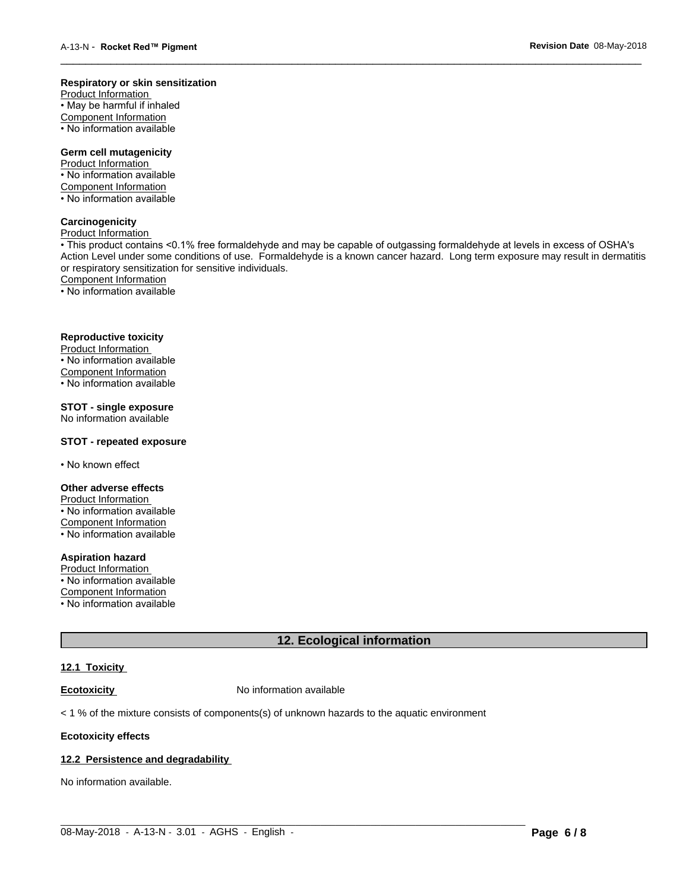#### **Respiratory or skin sensitization**

Product Information  $\overline{\cdot}$  May be harmful if inhaled Component Information • No information available

## **Germ cell mutagenicity**

Product Information • No information available Component Information • No information available

## **Carcinogenicity**

Product Information

• This product contains <0.1% free formaldehyde and may be capable of outgassing formaldehyde at levels in excess of OSHA's Action Level under some conditions of use. Formaldehyde is a known cancer hazard. Long term exposure may result in dermatitis or respiratory sensitization for sensitive individuals.Component Information

 $\overline{\phantom{a}}$  ,  $\overline{\phantom{a}}$  ,  $\overline{\phantom{a}}$  ,  $\overline{\phantom{a}}$  ,  $\overline{\phantom{a}}$  ,  $\overline{\phantom{a}}$  ,  $\overline{\phantom{a}}$  ,  $\overline{\phantom{a}}$  ,  $\overline{\phantom{a}}$  ,  $\overline{\phantom{a}}$  ,  $\overline{\phantom{a}}$  ,  $\overline{\phantom{a}}$  ,  $\overline{\phantom{a}}$  ,  $\overline{\phantom{a}}$  ,  $\overline{\phantom{a}}$  ,  $\overline{\phantom{a}}$ 

• No information available

## **Reproductive toxicity**

Product Information • No information available

Component Information

• No information available

## **STOT - single exposure**

No information available

## **STOT - repeated exposure**

• No known effect

#### **Other adverse effects**

Product Information • No information available Component Information

• No information available

## **Aspiration hazard**

Product Information • No information available

Component Information

• No information available

## **12. Ecological information**

 $\_$  ,  $\_$  ,  $\_$  ,  $\_$  ,  $\_$  ,  $\_$  ,  $\_$  ,  $\_$  ,  $\_$  ,  $\_$  ,  $\_$  ,  $\_$  ,  $\_$  ,  $\_$  ,  $\_$  ,  $\_$  ,  $\_$  ,  $\_$  ,  $\_$  ,  $\_$  ,  $\_$  ,  $\_$  ,  $\_$  ,  $\_$  ,  $\_$  ,  $\_$  ,  $\_$  ,  $\_$  ,  $\_$  ,  $\_$  ,  $\_$  ,  $\_$  ,  $\_$  ,  $\_$  ,  $\_$  ,  $\_$  ,  $\_$  ,

## **12.1 Toxicity**

**Ecotoxicity No information available** 

 $<$  1 % of the mixture consists of components(s) of unknown hazards to the aquatic environment

#### **Ecotoxicity effects**

## **12.2 Persistence and degradability**

No information available.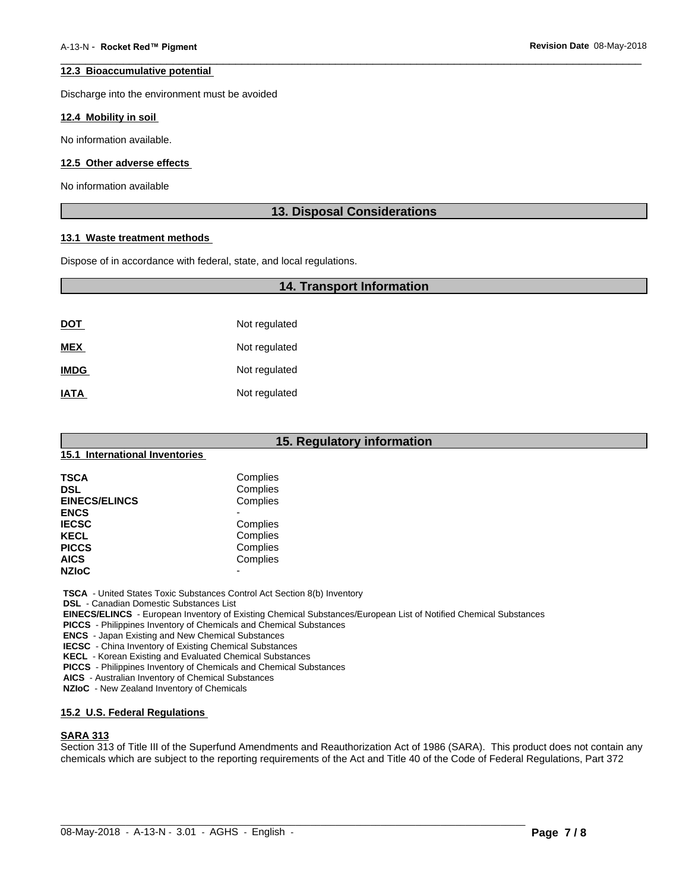## **12.3 Bioaccumulative potential**

Discharge into the environment must be avoided

#### **12.4 Mobility in soil**

No information available.

## **12.5 Other adverse effects**

No information available

## **13. Disposal Considerations**

 $\overline{\phantom{a}}$  ,  $\overline{\phantom{a}}$  ,  $\overline{\phantom{a}}$  ,  $\overline{\phantom{a}}$  ,  $\overline{\phantom{a}}$  ,  $\overline{\phantom{a}}$  ,  $\overline{\phantom{a}}$  ,  $\overline{\phantom{a}}$  ,  $\overline{\phantom{a}}$  ,  $\overline{\phantom{a}}$  ,  $\overline{\phantom{a}}$  ,  $\overline{\phantom{a}}$  ,  $\overline{\phantom{a}}$  ,  $\overline{\phantom{a}}$  ,  $\overline{\phantom{a}}$  ,  $\overline{\phantom{a}}$ 

## **13.1 Waste treatment methods**

Dispose of in accordance with federal, state, and local regulations.

## **14. Transport Information**

| <b>DOT</b>  | Not regulated |
|-------------|---------------|
| <b>MEX</b>  | Not regulated |
| <b>IMDG</b> | Not regulated |
| <b>IATA</b> | Not regulated |

| 15. Regulatory information     |                          |  |  |  |
|--------------------------------|--------------------------|--|--|--|
| 15.1 International Inventories |                          |  |  |  |
| <b>TSCA</b>                    | Complies                 |  |  |  |
| <b>DSL</b>                     | Complies                 |  |  |  |
| <b>EINECS/ELINCS</b>           | Complies                 |  |  |  |
| <b>ENCS</b>                    | $\blacksquare$           |  |  |  |
| <b>IECSC</b>                   | Complies                 |  |  |  |
| <b>KECL</b>                    | Complies                 |  |  |  |
| <b>PICCS</b>                   | Complies                 |  |  |  |
| <b>AICS</b>                    | Complies                 |  |  |  |
| <b>NZIoC</b>                   | $\overline{\phantom{0}}$ |  |  |  |

 **TSCA** - United States Toxic Substances Control Act Section 8(b) Inventory

 **DSL** - Canadian Domestic Substances List

 **EINECS/ELINCS** - European Inventory of Existing Chemical Substances/European List of Notified Chemical Substances

 **PICCS** - Philippines Inventory of Chemicals and Chemical Substances

 **ENCS** - Japan Existing and New Chemical Substances

 **IECSC** - China Inventory of Existing Chemical Substances

 **KECL** - Korean Existing and Evaluated Chemical Substances

 **PICCS** - Philippines Inventory of Chemicals and Chemical Substances

 **AICS** - Australian Inventory of Chemical Substances

 **NZIoC** - New Zealand Inventory of Chemicals

## **15.2 U.S. Federal Regulations**

## **SARA 313**

Section 313 of Title III of the Superfund Amendments and Reauthorization Act of 1986 (SARA). This product does not contain any chemicals which are subject to the reporting requirements of the Act and Title 40 of the Code of Federal Regulations, Part 372